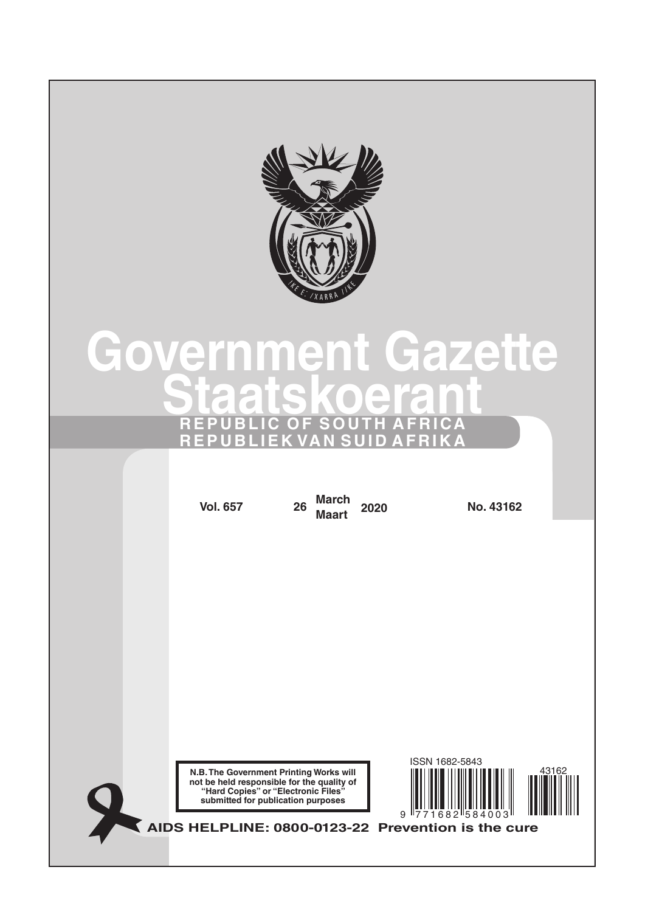

# **Government Gazette Staatskoerant REPUBLIC OF SOUTH AFRICA REPUBLIEK VAN SUID AFRIKA**

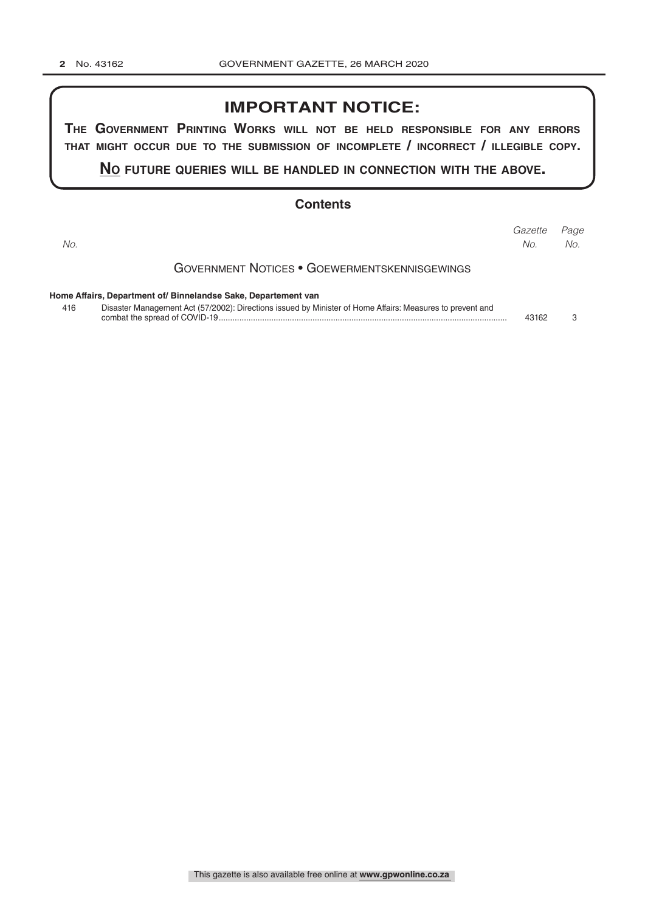### **IMPORTANT NOTICE:**

**The GovernmenT PrinTinG Works Will noT be held resPonsible for any errors ThaT miGhT occur due To The submission of incomPleTe / incorrecT / illeGible coPy.**

**no fuTure queries Will be handled in connecTion WiTh The above.**

### **Contents**

| No. |                                                                                                           | Gazette<br>No. | Page<br>No. |
|-----|-----------------------------------------------------------------------------------------------------------|----------------|-------------|
|     | <b>GOVERNMENT NOTICES • GOEWERMENTSKENNISGEWINGS</b>                                                      |                |             |
|     | Home Affairs, Department of/ Binnelandse Sake, Departement van                                            |                |             |
| 416 | Disaster Management Act (57/2002): Directions issued by Minister of Home Affairs: Measures to prevent and | 43162          |             |

This gazette is also available free online at **www.gpwonline.co.za**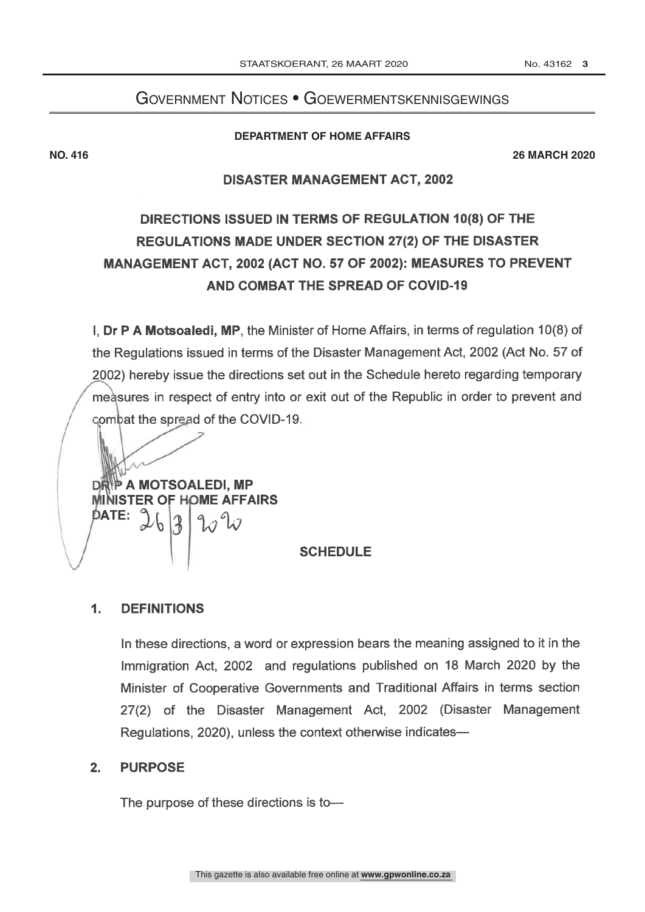### Government Notices • Goewermentskennisgewings

### **DEPARTMENT OF HOME AFFAIRS**

**NO. 416 26 MARCH 2020**

### **DISASTER MANAGEMENT ACT, 2002**

## DIRECTIONS ISSUED IN TERMS OF REGULATION 10(8) OF THE REGULATIONS MADE UNDER SECTION 27(2) OF THE DISASTER MANAGEMENT ACT, 2002 (ACT NO. 57 OF 2002): MEASURES TO PREVENT AND COMBAT THE SPREAD OF COVID-19

I, Dr P A Motsoaledi, MP, the Minister of Home Affairs, in terms of regulation 10(8) of the Regulations issued in terms of the Disaster Management Act, 2002 (Act No. 57 of 2002) hereby issue the directions set out in the Schedule hereto regarding temporary measures in respect of entry into or exit out of the Republic in order to prevent and combat the spread of the COVID-19.

P A MOTSOALEDI, MP **MINISTER OF HOME AFFAIRS** DATE:

### **SCHEDULE**

#### **DEFINITIONS**  $\mathbf 1$ .

In these directions, a word or expression bears the meaning assigned to it in the Immigration Act, 2002 and regulations published on 18 March 2020 by the Minister of Cooperative Governments and Traditional Affairs in terms section 27(2) of the Disaster Management Act, 2002 (Disaster Management Regulations, 2020), unless the context otherwise indicates-

#### **PURPOSE**  $2<sub>1</sub>$

The purpose of these directions is to-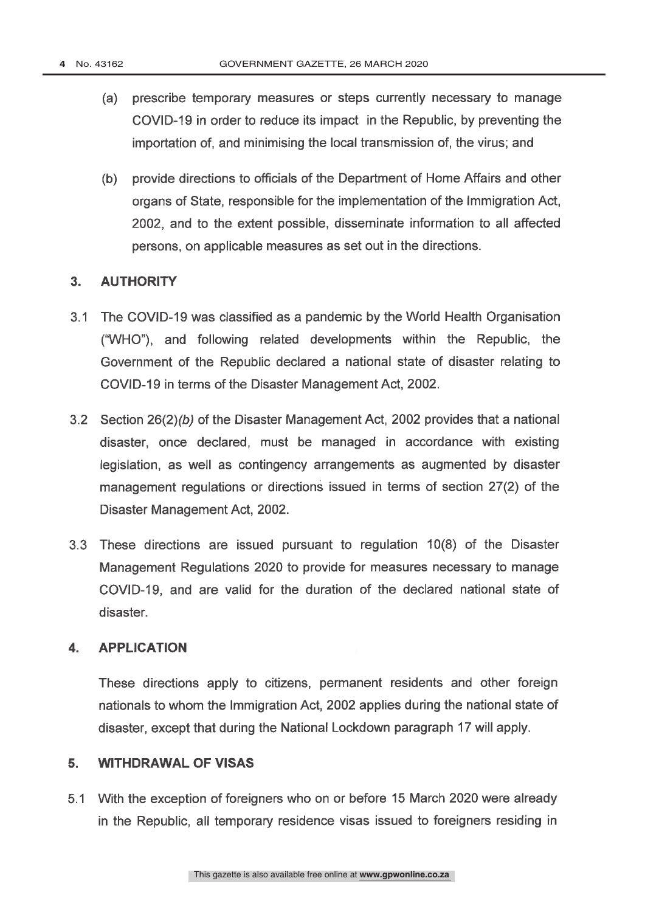- prescribe temporary measures or steps currently necessary to manage (a) COVID-19 in order to reduce its impact in the Republic, by preventing the importation of, and minimising the local transmission of, the virus; and
- (b) provide directions to officials of the Department of Home Affairs and other organs of State, responsible for the implementation of the Immigration Act, 2002, and to the extent possible, disseminate information to all affected persons, on applicable measures as set out in the directions.

#### **AUTHORITY**  $\overline{3}$ .

- 3.1 The COVID-19 was classified as a pandemic by the World Health Organisation ("WHO"), and following related developments within the Republic, the Government of the Republic declared a national state of disaster relating to COVID-19 in terms of the Disaster Management Act, 2002.
- 3.2 Section 26(2)(b) of the Disaster Management Act, 2002 provides that a national disaster, once declared, must be managed in accordance with existing legislation, as well as contingency arrangements as augmented by disaster management regulations or directions issued in terms of section 27(2) of the Disaster Management Act, 2002.
- 3.3 These directions are issued pursuant to regulation 10(8) of the Disaster Management Regulations 2020 to provide for measures necessary to manage COVID-19, and are valid for the duration of the declared national state of disaster.

#### $\mathbf{4}$ **APPLICATION**

These directions apply to citizens, permanent residents and other foreign nationals to whom the Immigration Act, 2002 applies during the national state of disaster, except that during the National Lockdown paragraph 17 will apply.

#### **WITHDRAWAL OF VISAS** 5.

5.1 With the exception of foreigners who on or before 15 March 2020 were already in the Republic, all temporary residence visas issued to foreigners residing in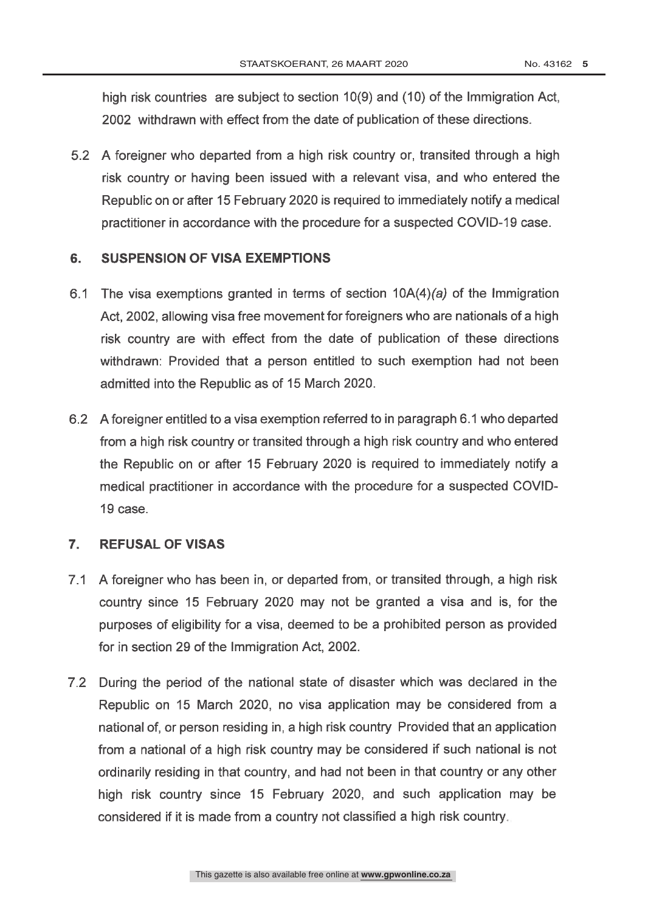high risk countries are subject to section 10(9) and (10) of the Immigration Act, 2002 withdrawn with effect from the date of publication of these directions.

5.2 A foreigner who departed from a high risk country or, transited through a high risk country or having been issued with a relevant visa, and who entered the Republic on or after 15 February 2020 is required to immediately notify a medical practitioner in accordance with the procedure for a suspected COVID-19 case.

#### **SUSPENSION OF VISA EXEMPTIONS** 6.

- 6.1 The visa exemptions granted in terms of section  $10A(4)(a)$  of the Immigration Act, 2002, allowing visa free movement for foreigners who are nationals of a high risk country are with effect from the date of publication of these directions withdrawn: Provided that a person entitled to such exemption had not been admitted into the Republic as of 15 March 2020.
- 6.2 A foreigner entitled to a visa exemption referred to in paragraph 6.1 who departed from a high risk country or transited through a high risk country and who entered the Republic on or after 15 February 2020 is required to immediately notify a medical practitioner in accordance with the procedure for a suspected COVID-19 case.

#### $\overline{7}$ . **REFUSAL OF VISAS**

- 7.1 A foreigner who has been in, or departed from, or transited through, a high risk country since 15 February 2020 may not be granted a visa and is, for the purposes of eligibility for a visa, deemed to be a prohibited person as provided for in section 29 of the Immigration Act, 2002.
- 7.2 During the period of the national state of disaster which was declared in the Republic on 15 March 2020, no visa application may be considered from a national of, or person residing in, a high risk country Provided that an application from a national of a high risk country may be considered if such national is not ordinarily residing in that country, and had not been in that country or any other high risk country since 15 February 2020, and such application may be considered if it is made from a country not classified a high risk country.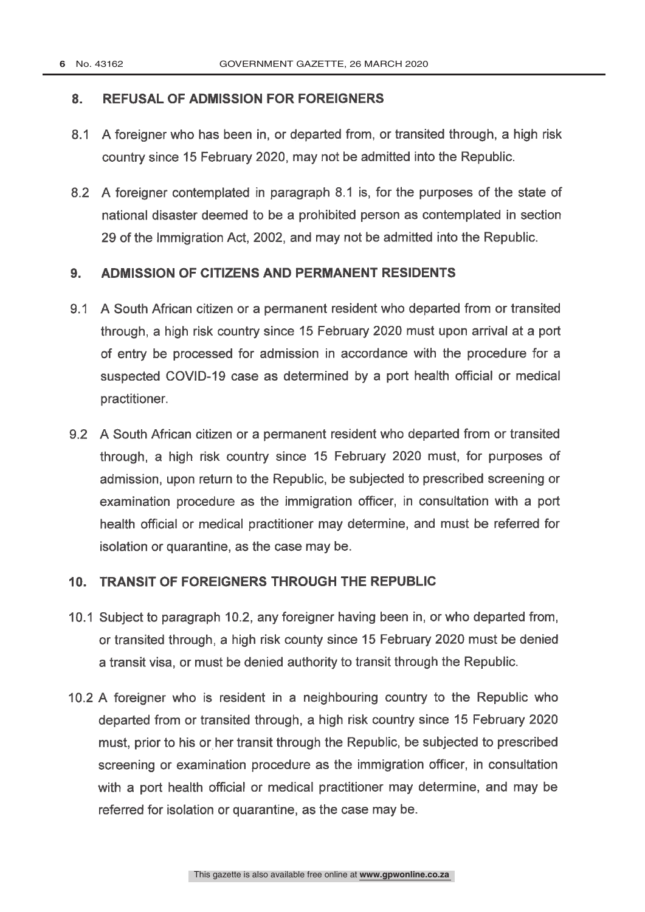#### **REFUSAL OF ADMISSION FOR FOREIGNERS**  $\mathbf{8}$ .

- 8.1 A foreigner who has been in, or departed from, or transited through, a high risk country since 15 February 2020, may not be admitted into the Republic.
- 8.2 A foreigner contemplated in paragraph 8.1 is, for the purposes of the state of national disaster deemed to be a prohibited person as contemplated in section 29 of the Immigration Act, 2002, and may not be admitted into the Republic.

#### $9<sub>1</sub>$ ADMISSION OF CITIZENS AND PERMANENT RESIDENTS

- 9.1 A South African citizen or a permanent resident who departed from or transited through, a high risk country since 15 February 2020 must upon arrival at a port of entry be processed for admission in accordance with the procedure for a suspected COVID-19 case as determined by a port health official or medical practitioner.
- 9.2 A South African citizen or a permanent resident who departed from or transited through, a high risk country since 15 February 2020 must, for purposes of admission, upon return to the Republic, be subjected to prescribed screening or examination procedure as the immigration officer, in consultation with a port health official or medical practitioner may determine, and must be referred for isolation or quarantine, as the case may be.

#### **TRANSIT OF FOREIGNERS THROUGH THE REPUBLIC**  $10.$

- 10.1 Subject to paragraph 10.2, any foreigner having been in, or who departed from, or transited through, a high risk county since 15 February 2020 must be denied a transit visa, or must be denied authority to transit through the Republic.
- 10.2 A foreigner who is resident in a neighbouring country to the Republic who departed from or transited through, a high risk country since 15 February 2020 must, prior to his or her transit through the Republic, be subjected to prescribed screening or examination procedure as the immigration officer, in consultation with a port health official or medical practitioner may determine, and may be referred for isolation or quarantine, as the case may be.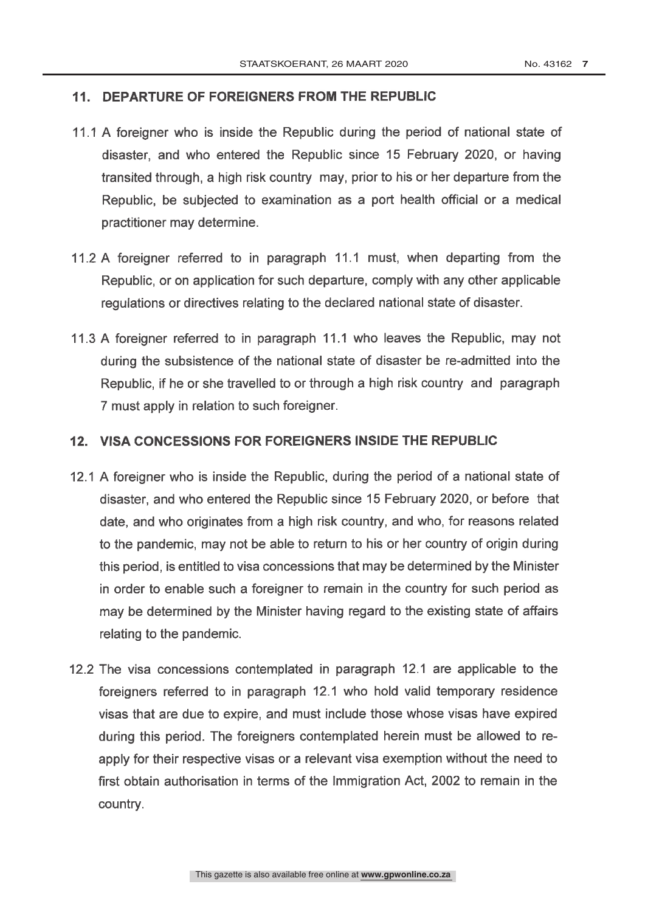### 11. DEPARTURE OF FOREIGNERS FROM THE REPUBLIC

- 11.1 A foreigner who is inside the Republic during the period of national state of disaster, and who entered the Republic since 15 February 2020, or having transited through, a high risk country may, prior to his or her departure from the Republic, be subjected to examination as a port health official or a medical practitioner may determine.
- 11.2 A foreigner referred to in paragraph 11.1 must, when departing from the Republic, or on application for such departure, comply with any other applicable regulations or directives relating to the declared national state of disaster.
- 11.3 A foreigner referred to in paragraph 11.1 who leaves the Republic, may not during the subsistence of the national state of disaster be re-admitted into the Republic, if he or she travelled to or through a high risk country and paragraph 7 must apply in relation to such foreigner.

### 12. VISA CONCESSIONS FOR FOREIGNERS INSIDE THE REPUBLIC

- 12.1 A foreigner who is inside the Republic, during the period of a national state of disaster, and who entered the Republic since 15 February 2020, or before that date, and who originates from a high risk country, and who, for reasons related to the pandemic, may not be able to return to his or her country of origin during this period, is entitled to visa concessions that may be determined by the Minister in order to enable such a foreigner to remain in the country for such period as may be determined by the Minister having regard to the existing state of affairs relating to the pandemic.
- 12.2 The visa concessions contemplated in paragraph 12.1 are applicable to the foreigners referred to in paragraph 12.1 who hold valid temporary residence visas that are due to expire, and must include those whose visas have expired during this period. The foreigners contemplated herein must be allowed to reapply for their respective visas or a relevant visa exemption without the need to first obtain authorisation in terms of the Immigration Act, 2002 to remain in the country.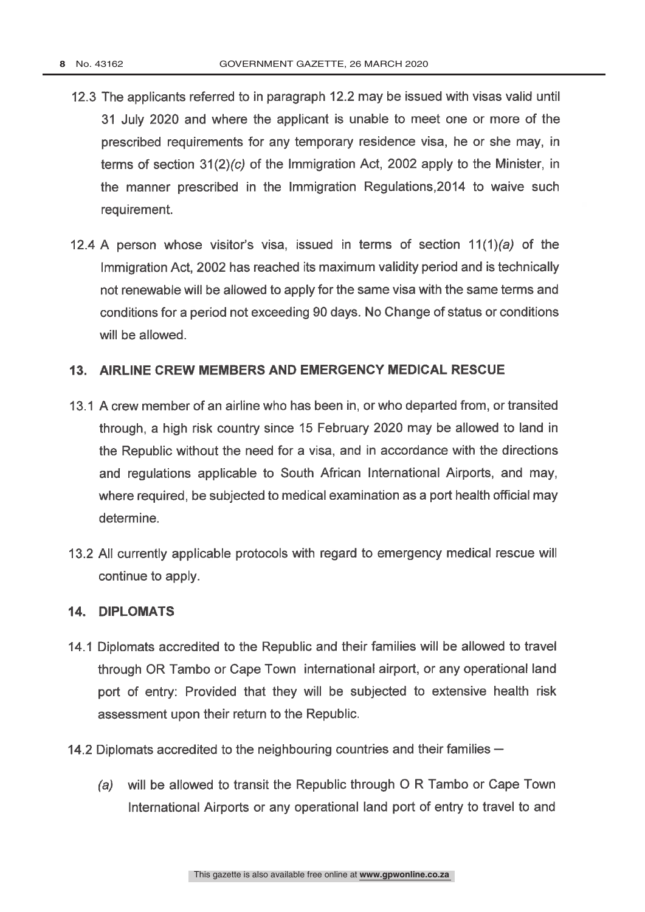- 12.3 The applicants referred to in paragraph 12.2 may be issued with visas valid until 31 July 2020 and where the applicant is unable to meet one or more of the prescribed requirements for any temporary residence visa, he or she may, in terms of section  $31(2)(c)$  of the Immigration Act, 2002 apply to the Minister, in the manner prescribed in the Immigration Regulations, 2014 to waive such requirement.
- 12.4 A person whose visitor's visa, issued in terms of section  $11(1)(a)$  of the Immigration Act, 2002 has reached its maximum validity period and is technically not renewable will be allowed to apply for the same visa with the same terms and conditions for a period not exceeding 90 days. No Change of status or conditions will be allowed.

### 13. AIRLINE CREW MEMBERS AND EMERGENCY MEDICAL RESCUE

- 13.1 A crew member of an airline who has been in, or who departed from, or transited through, a high risk country since 15 February 2020 may be allowed to land in the Republic without the need for a visa, and in accordance with the directions and regulations applicable to South African International Airports, and may, where required, be subjected to medical examination as a port health official may determine.
- 13.2 All currently applicable protocols with regard to emergency medical rescue will continue to apply.

### **14. DIPLOMATS**

- 14.1 Diplomats accredited to the Republic and their families will be allowed to travel through OR Tambo or Cape Town international airport, or any operational land port of entry: Provided that they will be subjected to extensive health risk assessment upon their return to the Republic.
- 14.2 Diplomats accredited to the neighbouring countries and their families
	- will be allowed to transit the Republic through O R Tambo or Cape Town  $(a)$ International Airports or any operational land port of entry to travel to and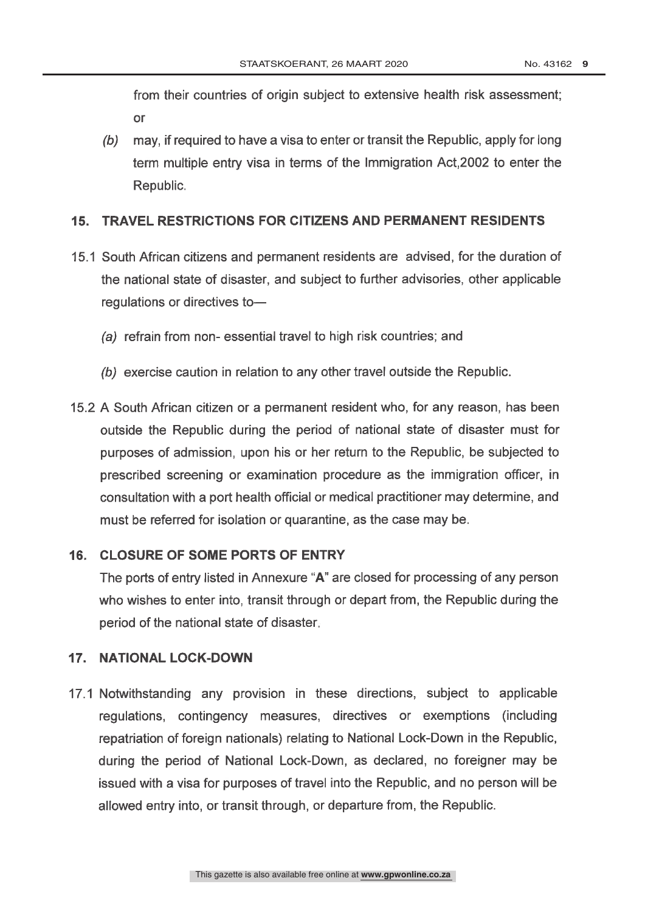from their countries of origin subject to extensive health risk assessment;  $\alpha$ r

(b) may, if required to have a visa to enter or transit the Republic, apply for long term multiple entry visa in terms of the Immigration Act, 2002 to enter the Republic.

#### **TRAVEL RESTRICTIONS FOR CITIZENS AND PERMANENT RESIDENTS**  $15.$

- 15.1 South African citizens and permanent residents are advised, for the duration of the national state of disaster, and subject to further advisories, other applicable regulations or directives to-
	- (a) refrain from non- essential travel to high risk countries: and
	- (b) exercise caution in relation to any other travel outside the Republic.
- 15.2 A South African citizen or a permanent resident who, for any reason, has been outside the Republic during the period of national state of disaster must for purposes of admission, upon his or her return to the Republic, be subjected to prescribed screening or examination procedure as the immigration officer, in consultation with a port health official or medical practitioner may determine, and must be referred for isolation or quarantine, as the case may be.

### 16. CLOSURE OF SOME PORTS OF ENTRY

The ports of entry listed in Annexure "A" are closed for processing of any person who wishes to enter into, transit through or depart from, the Republic during the period of the national state of disaster.

### 17. NATIONAL LOCK-DOWN

17.1 Notwithstanding any provision in these directions, subject to applicable regulations, contingency measures, directives or exemptions (including repatriation of foreign nationals) relating to National Lock-Down in the Republic, during the period of National Lock-Down, as declared, no foreigner may be issued with a visa for purposes of travel into the Republic, and no person will be allowed entry into, or transit through, or departure from, the Republic.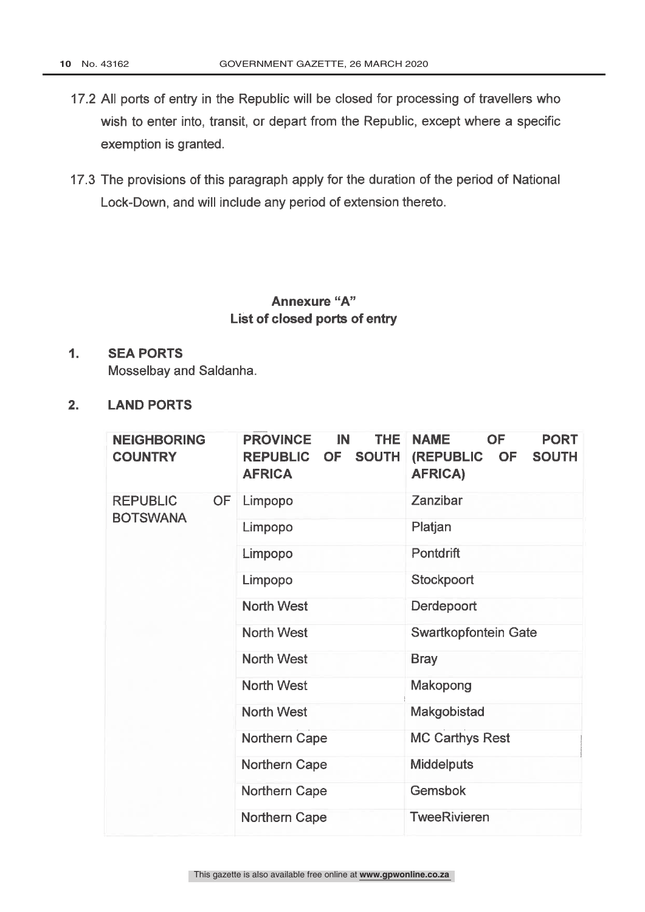- 17.2 All ports of entry in the Republic will be closed for processing of travellers who wish to enter into, transit, or depart from the Republic, except where a specific exemption is granted.
- 17.3 The provisions of this paragraph apply for the duration of the period of National Lock-Down, and will include any period of extension thereto.

### Annexure "A" List of closed ports of entry

#### $1.$ **SEA PORTS**

Mosselbay and Saldanha.

 $2.$ **LAND PORTS** 

| <b>NEIGHBORING</b><br><b>COUNTRY</b> | <b>THE</b><br><b>PROVINCE</b><br>IN<br>OF SOUTH<br><b>REPUBLIC</b><br><b>AFRICA</b> | <b>NAME</b><br><b>OF</b><br><b>PORT</b><br><b>(REPUBLIC</b><br>OF<br><b>SOUTH</b><br><b>AFRICA)</b> |
|--------------------------------------|-------------------------------------------------------------------------------------|-----------------------------------------------------------------------------------------------------|
| <b>REPUBLIC</b><br><b>OF</b>         | Limpopo                                                                             | Zanzibar                                                                                            |
| <b>BOTSWANA</b>                      | Limpopo                                                                             | Platjan                                                                                             |
|                                      | Limpopo                                                                             | <b>Pontdrift</b>                                                                                    |
|                                      | Limpopo                                                                             | Stockpoort                                                                                          |
|                                      | <b>North West</b>                                                                   | Derdepoort                                                                                          |
|                                      | <b>North West</b>                                                                   | Swartkopfontein Gate                                                                                |
|                                      | <b>North West</b>                                                                   | <b>Bray</b>                                                                                         |
|                                      | <b>North West</b>                                                                   | Makopong                                                                                            |
|                                      | <b>North West</b>                                                                   | Makgobistad                                                                                         |
|                                      | <b>Northern Cape</b>                                                                | <b>MC Carthys Rest</b>                                                                              |
|                                      | Northern Cape                                                                       | <b>Middelputs</b>                                                                                   |
|                                      | <b>Northern Cape</b>                                                                | <b>Gemsbok</b>                                                                                      |
|                                      | <b>Northern Cape</b>                                                                | <b>TweeRivieren</b>                                                                                 |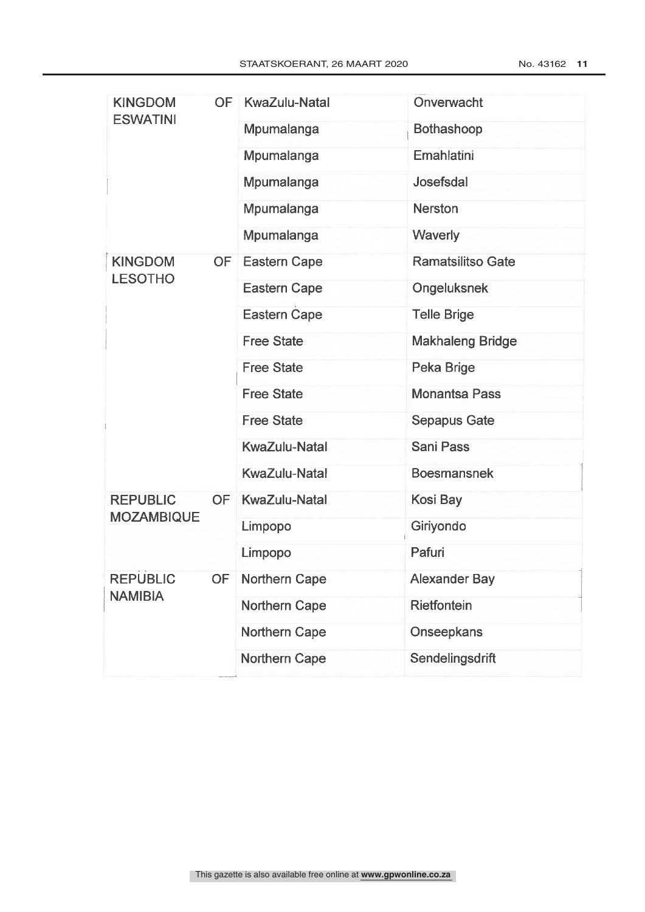| <b>KINGDOM</b>    | OF        | KwaZulu-Natal        | Onverwacht               |
|-------------------|-----------|----------------------|--------------------------|
| <b>ESWATINI</b>   |           | Mpumalanga           | <b>Bothashoop</b>        |
|                   |           | Mpumalanga           | Emahlatini               |
|                   |           | Mpumalanga           | Josefsdal                |
|                   |           | Mpumalanga           | <b>Nerston</b>           |
|                   |           | <b>Mpumalanga</b>    | Waverly                  |
| <b>KINGDOM</b>    | <b>OF</b> | <b>Eastern Cape</b>  | <b>Ramatsilitso Gate</b> |
| <b>LESOTHO</b>    |           | <b>Eastern Cape</b>  | Ongeluksnek              |
|                   |           | <b>Eastern Cape</b>  | <b>Telle Brige</b>       |
|                   |           | <b>Free State</b>    | <b>Makhaleng Bridge</b>  |
|                   |           | <b>Free State</b>    | Peka Brige               |
|                   |           | <b>Free State</b>    | <b>Monantsa Pass</b>     |
|                   |           | <b>Free State</b>    | <b>Sepapus Gate</b>      |
|                   |           | <b>KwaZulu-Natal</b> | <b>Sani Pass</b>         |
|                   |           | <b>KwaZulu-Natal</b> | <b>Boesmansnek</b>       |
| <b>REPUBLIC</b>   | <b>OF</b> | <b>KwaZulu-Natal</b> | Kosi Bay                 |
| <b>MOZAMBIQUE</b> |           | Limpopo              | Giriyondo                |
|                   |           | Limpopo              | Pafuri                   |
| <b>REPUBLIC</b>   |           | OF Northern Cape     | <b>Alexander Bay</b>     |
| <b>NAMIBIA</b>    |           | Northern Cape        | Rietfontein              |
|                   |           | Northern Cape        | Onseepkans               |
|                   |           | <b>Northern Cape</b> | Sendelingsdrift          |